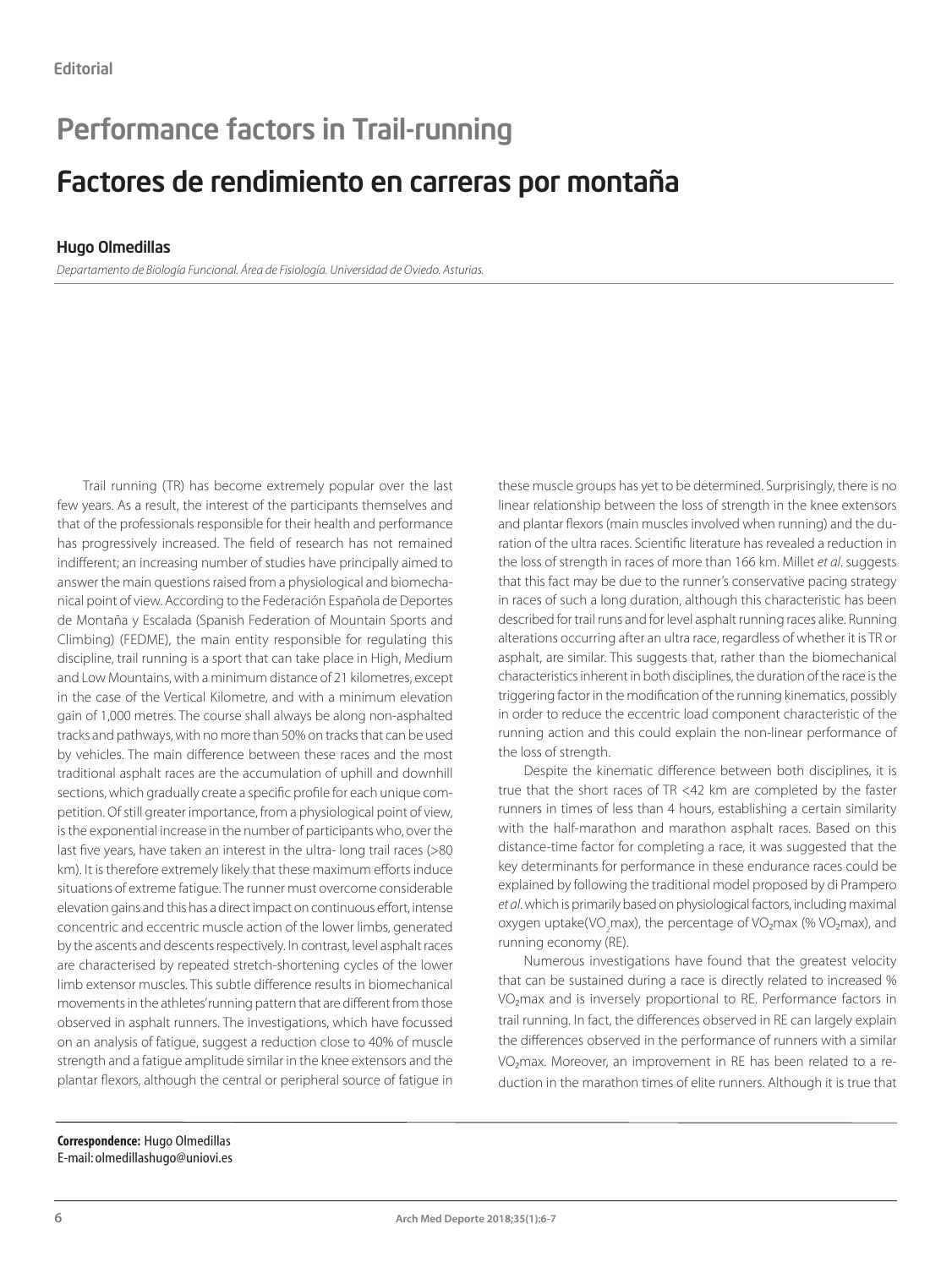## Performance factors in Trail-running

## Factores de rendimiento en carreras por montaña

## Hugo Olmedillas

*Departamento de Biología Funcional. Área de Fisiología. Universidad de Oviedo. Asturias.*

Trail running (TR) has become extremely popular over the last few years. As a result, the interest of the participants themselves and that of the professionals responsible for their health and performance has progressively increased. The field of research has not remained indifferent; an increasing number of studies have principally aimed to answer the main questions raised from a physiological and biomechanical point of view. According to the Federación Española de Deportes de Montaña y Escalada (Spanish Federation of Mountain Sports and Climbing) (FEDME), the main entity responsible for regulating this discipline, trail running is a sport that can take place in High, Medium and Low Mountains, with a minimum distance of 21 kilometres, except in the case of the Vertical Kilometre, and with a minimum elevation gain of 1,000 metres. The course shall always be along non-asphalted tracks and pathways, with no more than 50% on tracks that can be used by vehicles. The main difference between these races and the most traditional asphalt races are the accumulation of uphill and downhill sections, which gradually create a specific profile for each unique competition. Of still greater importance, from a physiological point of view, is the exponential increase in the number of participants who, over the last five years, have taken an interest in the ultra- long trail races (>80 km). It is therefore extremely likely that these maximum efforts induce situations of extreme fatigue. The runner must overcome considerable elevation gains and this has a direct impact on continuous effort, intense concentric and eccentric muscle action of the lower limbs, generated by the ascents and descents respectively. In contrast, level asphalt races are characterised by repeated stretch-shortening cycles of the lower limb extensor muscles. This subtle difference results in biomechanical movements in the athletes' running pattern that are different from those observed in asphalt runners. The investigations, which have focussed on an analysis of fatigue, suggest a reduction close to 40% of muscle strength and a fatigue amplitude similar in the knee extensors and the plantar flexors, although the central or peripheral source of fatigue in these muscle groups has yet to be determined. Surprisingly, there is no linear relationship between the loss of strength in the knee extensors and plantar flexors (main muscles involved when running) and the duration of the ultra races. Scientific literature has revealed a reduction in the loss of strength in races of more than 166 km. Millet *et al*. suggests that this fact may be due to the runner's conservative pacing strategy in races of such a long duration, although this characteristic has been described for trail runs and for level asphalt running races alike. Running alterations occurring after an ultra race, regardless of whether it is TR or asphalt, are similar. This suggests that, rather than the biomechanical characteristics inherent in both disciplines, the duration of the race is the triggering factor in the modification of the running kinematics, possibly in order to reduce the eccentric load component characteristic of the running action and this could explain the non-linear performance of the loss of strength.

Despite the kinematic difference between both disciplines, it is true that the short races of TR <42 km are completed by the faster runners in times of less than 4 hours, establishing a certain similarity with the half-marathon and marathon asphalt races. Based on this distance-time factor for completing a race, it was suggested that the key determinants for performance in these endurance races could be explained by following the traditional model proposed by di Prampero *et al*. which is primarily based on physiological factors, including maximal oxygen uptake(VO<sub>2</sub>max), the percentage of VO<sub>2</sub>max (% VO<sub>2</sub>max), and running economy (RE).

Numerous investigations have found that the greatest velocity that can be sustained during a race is directly related to increased % VO<sub>2</sub>max and is inversely proportional to RE. Performance factors in trail running. In fact, the differences observed in RE can largely explain the differences observed in the performance of runners with a similar VO<sub>2</sub>max. Moreover, an improvement in RE has been related to a reduction in the marathon times of elite runners. Although it is true that

**Correspondence:** Hugo Olmedillas E-mail: olmedillashugo@uniovi.es